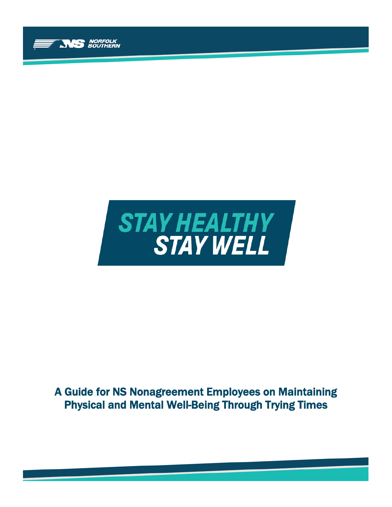



# A Guide for NS Nonagreement Employees on Maintaining Physical and Mental Well-Being Through Trying Times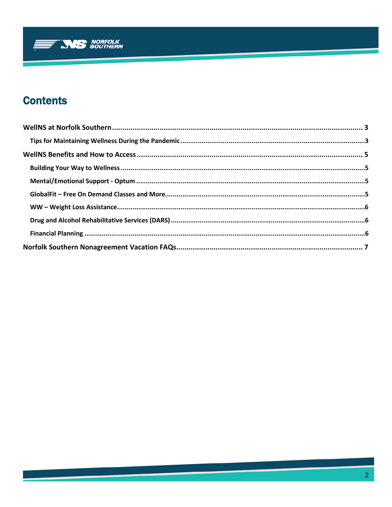

# **Contents**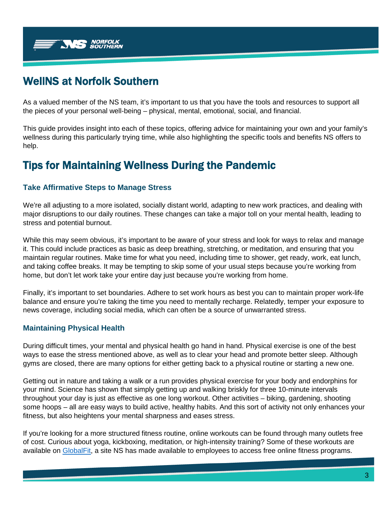

# <span id="page-2-0"></span>WellNS at Norfolk Southern

As a valued member of the NS team, it's important to us that you have the tools and resources to support all the pieces of your personal well-being – physical, mental, emotional, social, and financial.

This guide provides insight into each of these topics, offering advice for maintaining your own and your family's wellness during this particularly trying time, while also highlighting the specific tools and benefits NS offers to help.

# <span id="page-2-1"></span>Tips for Maintaining Wellness During the Pandemic

## **Take Affirmative Steps to Manage Stress**

We're all adjusting to a more isolated, socially distant world, adapting to new work practices, and dealing with major disruptions to our daily routines. These changes can take a major toll on your mental health, leading to stress and potential burnout.

While this may seem obvious, it's important to be aware of your stress and look for ways to relax and manage it. This could include practices as basic as deep breathing, stretching, or meditation, and ensuring that you maintain regular routines. Make time for what you need, including time to shower, get ready, work, eat lunch, and taking coffee breaks. It may be tempting to skip some of your usual steps because you're working from home, but don't let work take your entire day just because you're working from home.

Finally, it's important to set boundaries. Adhere to set work hours as best you can to maintain proper work-life balance and ensure you're taking the time you need to mentally recharge. Relatedly, temper your exposure to news coverage, including social media, which can often be a source of unwarranted stress.

### **Maintaining Physical Health**

During difficult times, your mental and physical health go hand in hand. Physical exercise is one of the best ways to ease the stress mentioned above, as well as to clear your head and promote better sleep. Although gyms are closed, there are many options for either getting back to a physical routine or starting a new one.

Getting out in nature and taking a walk or a run provides physical exercise for your body and endorphins for your mind. Science has shown that simply getting up and walking briskly for three 10-minute intervals throughout your day is just as effective as one long workout. Other activities – biking, gardening, shooting some hoops – all are easy ways to build active, healthy habits. And this sort of activity not only enhances your fitness, but also heightens your mental sharpness and eases stress.

If you're looking for a more structured fitness routine, online workouts can be found through many outlets free of cost. Curious about yoga, kickboxing, meditation, or high-intensity training? Some of these workouts are available on [GlobalFit,](#page-4-3) a site NS has made available to employees to access free online fitness programs.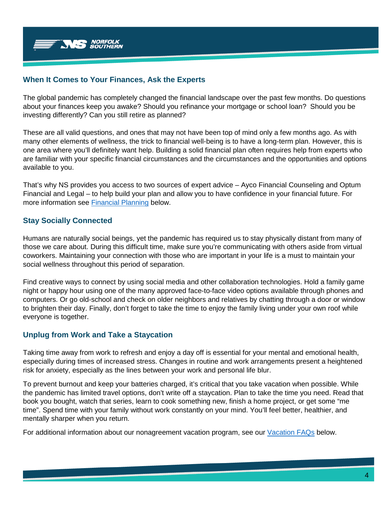

#### **When It Comes to Your Finances, Ask the Experts**

The global pandemic has completely changed the financial landscape over the past few months. Do questions about your finances keep you awake? Should you refinance your mortgage or school loan? Should you be investing differently? Can you still retire as planned?

These are all valid questions, and ones that may not have been top of mind only a few months ago. As with many other elements of wellness, the trick to financial well-being is to have a long-term plan. However, this is one area where you'll definitely want help. Building a solid financial plan often requires help from experts who are familiar with your specific financial circumstances and the circumstances and the opportunities and options available to you.

That's why NS provides you access to two sources of expert advice – Ayco Financial Counseling and Optum Financial and Legal – to help build your plan and allow you to have confidence in your financial future. For more information see [Financial Planning](#page-5-2) below.

### **Stay Socially Connected**

Humans are naturally social beings, yet the pandemic has required us to stay physically distant from many of those we care about. During this difficult time, make sure you're communicating with others aside from virtual coworkers. Maintaining your connection with those who are important in your life is a must to maintain your social wellness throughout this period of separation.

Find creative ways to connect by using social media and other collaboration technologies. Hold a family game night or happy hour using one of the many approved face-to-face video options available through phones and computers. Or go old-school and check on older neighbors and relatives by chatting through a door or window to brighten their day. Finally, don't forget to take the time to enjoy the family living under your own roof while everyone is together.

### **Unplug from Work and Take a Staycation**

Taking time away from work to refresh and enjoy a day off is essential for your mental and emotional health, especially during times of increased stress. Changes in routine and work arrangements present a heightened risk for anxiety, especially as the lines between your work and personal life blur.

To prevent burnout and keep your batteries charged, it's critical that you take vacation when possible. While the pandemic has limited travel options, don't write off a staycation. Plan to take the time you need. Read that book you bought, watch that series, learn to cook something new, finish a home project, or get some "me time". Spend time with your family without work constantly on your mind. You'll feel better, healthier, and mentally sharper when you return.

For additional information about our nonagreement vacation program, see our [Vacation FAQs](#page-6-0) below.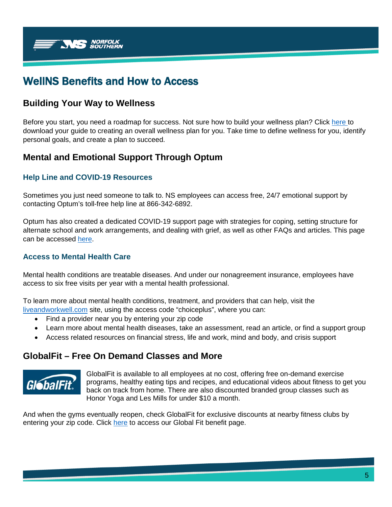

# <span id="page-4-0"></span>WellNS Benefits and How to Access

## <span id="page-4-1"></span>**Building Your Way to Wellness**

Before you start, you need a roadmap for success. Not sure how to build your wellness plan? Click [here t](https://www.liveandworkwell.com/content/dam/laww/documents/guides/BuildingWellnessBroch.pdf)o download your guide to creating an overall wellness plan for you. Take time to define wellness for you, identify personal goals, and create a plan to succeed.

# <span id="page-4-2"></span>**Mental and Emotional Support Through Optum**

## **Help Line and COVID-19 Resources**

Sometimes you just need someone to talk to. NS employees can access free, 24/7 emotional support by contacting Optum's toll-free help line at 866-342-6892.

Optum has also created a dedicated COVID-19 support page with strategies for coping, setting structure for alternate school and work arrangements, and dealing with grief, as well as other FAQs and articles. This page can be accessed [here.](https://www.liveandworkwell.com/en/public/custom/covid19.html)

### **Access to Mental Health Care**

Mental health conditions are treatable diseases. And under our nonagreement insurance, employees have access to six free visits per year with a mental health professional.

To learn more about mental health conditions, treatment, and providers that can help, visit the [liveandworkwell.com](https://www.liveandworkwell.com/content/en/public/topics/mental-health.html) site, using the access code "choiceplus", where you can:

- Find a provider near you by entering your zip code
- Learn more about mental health diseases, take an assessment, read an article, or find a support group
- Access related resources on financial stress, life and work, mind and body, and crisis support

## <span id="page-4-3"></span>**GlobalFit – Free On Demand Classes and More**



GlobalFit is available to all employees at no cost, offering free on-demand exercise programs, healthy eating tips and recipes, and educational videos about fitness to get you back on track from home. There are also discounted branded group classes such as Honor Yoga and Les Mills for under \$10 a month.

And when the gyms eventually reopen, check GlobalFit for exclusive discounts at nearby fitness clubs by entering your zip code. Click [here](http://www.nscorp.com/wellns/WellNS/globalfit.html) to access our Global Fit benefit page.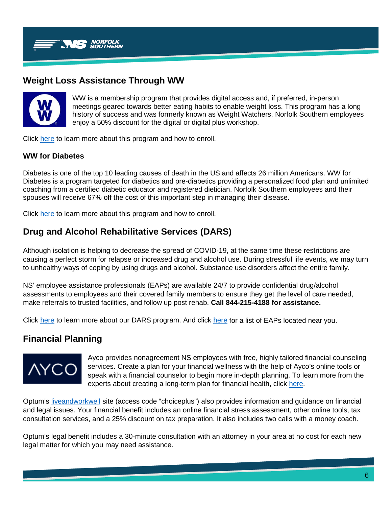

# <span id="page-5-0"></span>**Weight Loss Assistance Through WW**



WW is a membership program that provides digital access and, if preferred, in-person meetings geared towards better eating habits to enable weight loss. This program has a long history of success and was formerly known as Weight Watchers. Norfolk Southern employees enjoy a 50% discount for the digital or digital plus workshop.

Click [here](http://www.nscorp.com/wellns/WellNS/weight-watchers.html) to learn more about this program and how to enroll.

### **WW for Diabetes**

Diabetes is one of the top 10 leading causes of death in the US and affects 26 million Americans. WW for Diabetes is a program targeted for diabetics and pre-diabetics providing a personalized food plan and unlimited coaching from a certified diabetic educator and registered dietician. Norfolk Southern employees and their spouses will receive 67% off the cost of this important step in managing their disease.

Click [here](http://www.nscorp.com/wellns/WellNS/pdf/NSC-WW4D.pdf) to learn more about this program and how to enroll.

# <span id="page-5-1"></span>**Drug and Alcohol Rehabilitative Services (DARS)**

Although isolation is helping to decrease the spread of COVID-19, at the same time these restrictions are causing a perfect storm for relapse or increased drug and alcohol use. During stressful life events, we may turn to unhealthy ways of coping by using drugs and alcohol. Substance use disorders affect the entire family.

NS' employee assistance professionals (EAPs) are available 24/7 to provide confidential drug/alcohol assessments to employees and their covered family members to ensure they get the level of care needed, make referrals to trusted facilities, and follow up post rehab. **Call 844-215-4188 for assistance.**

Click [here](http://www.nscorp.com/wellns/WellNS/pdf/EAP-Staff-List.pdf) to learn more about our DARS program. And click here for a list of EAPs located near you.

## <span id="page-5-2"></span>**Financial Planning**



Ayco provides nonagreement NS employees with free, highly tailored financial counseling services. Create a plan for your financial wellness with the help of Ayco's online tools or speak with a financial counselor to begin more in-depth planning. To learn more from the experts about creating a long-term plan for financial health, click [here.](https://portal.ayco.com/PostLogin/)

Optum's [liveandworkwell](https://www.liveandworkwell.com/content/en/public.html) site (access code "choiceplus") also provides information and guidance on financial and legal issues. Your financial benefit includes an online financial stress assessment, other online tools, tax consultation services, and a 25% discount on tax preparation. It also includes two calls with a money coach.

Optum's legal benefit includes a 30-minute consultation with an attorney in your area at no cost for each new legal matter for which you may need assistance.